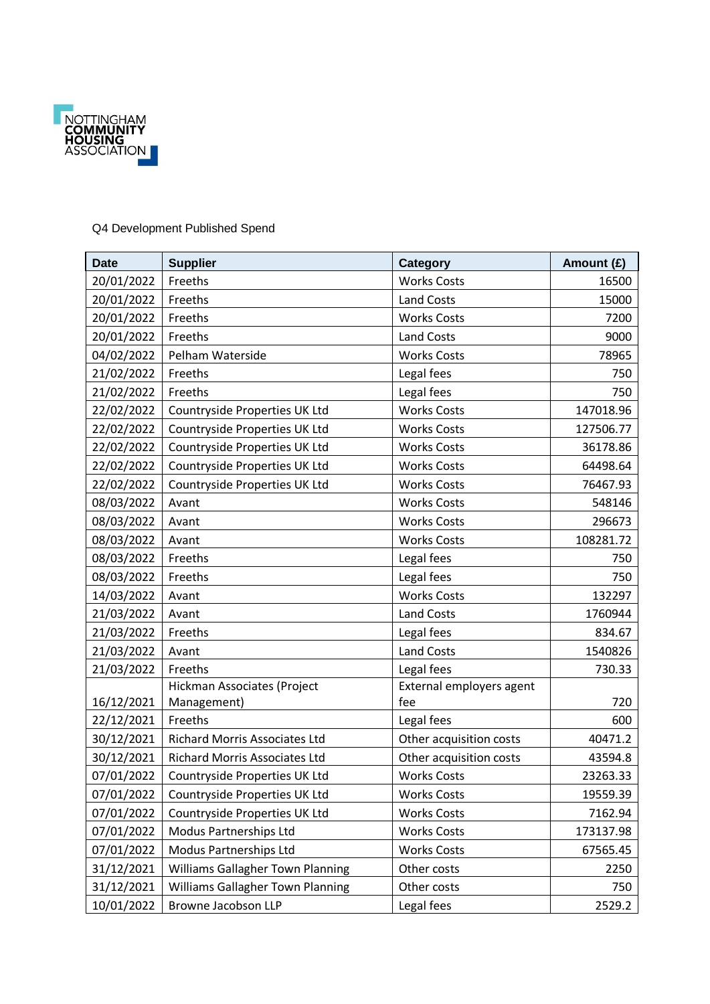

## Q4 Development Published Spend

| <b>Date</b> | <b>Supplier</b>                         | <b>Category</b>          | Amount (£) |
|-------------|-----------------------------------------|--------------------------|------------|
| 20/01/2022  | Freeths                                 | <b>Works Costs</b>       | 16500      |
| 20/01/2022  | Freeths                                 | <b>Land Costs</b>        | 15000      |
| 20/01/2022  | Freeths                                 | <b>Works Costs</b>       | 7200       |
| 20/01/2022  | Freeths                                 | <b>Land Costs</b>        | 9000       |
| 04/02/2022  | Pelham Waterside                        | <b>Works Costs</b>       | 78965      |
| 21/02/2022  | Freeths                                 | Legal fees               | 750        |
| 21/02/2022  | Freeths                                 | Legal fees               | 750        |
| 22/02/2022  | Countryside Properties UK Ltd           | <b>Works Costs</b>       | 147018.96  |
| 22/02/2022  | Countryside Properties UK Ltd           | <b>Works Costs</b>       | 127506.77  |
| 22/02/2022  | Countryside Properties UK Ltd           | <b>Works Costs</b>       | 36178.86   |
| 22/02/2022  | Countryside Properties UK Ltd           | <b>Works Costs</b>       | 64498.64   |
| 22/02/2022  | Countryside Properties UK Ltd           | <b>Works Costs</b>       | 76467.93   |
| 08/03/2022  | Avant                                   | <b>Works Costs</b>       | 548146     |
| 08/03/2022  | Avant                                   | <b>Works Costs</b>       | 296673     |
| 08/03/2022  | Avant                                   | <b>Works Costs</b>       | 108281.72  |
| 08/03/2022  | Freeths                                 | Legal fees               | 750        |
| 08/03/2022  | Freeths                                 | Legal fees               | 750        |
| 14/03/2022  | Avant                                   | <b>Works Costs</b>       | 132297     |
| 21/03/2022  | Avant                                   | <b>Land Costs</b>        | 1760944    |
| 21/03/2022  | Freeths                                 | Legal fees               | 834.67     |
| 21/03/2022  | Avant                                   | <b>Land Costs</b>        | 1540826    |
| 21/03/2022  | Freeths                                 | Legal fees               | 730.33     |
|             | Hickman Associates (Project             | External employers agent |            |
| 16/12/2021  | Management)                             | fee                      | 720        |
| 22/12/2021  | Freeths                                 | Legal fees               | 600        |
| 30/12/2021  | Richard Morris Associates Ltd           | Other acquisition costs  | 40471.2    |
| 30/12/2021  | Richard Morris Associates Ltd           | Other acquisition costs  | 43594.8    |
| 07/01/2022  | Countryside Properties UK Ltd           | <b>Works Costs</b>       | 23263.33   |
| 07/01/2022  | Countryside Properties UK Ltd           | <b>Works Costs</b>       | 19559.39   |
| 07/01/2022  | Countryside Properties UK Ltd           | <b>Works Costs</b>       | 7162.94    |
| 07/01/2022  | Modus Partnerships Ltd                  | <b>Works Costs</b>       | 173137.98  |
| 07/01/2022  | Modus Partnerships Ltd                  | <b>Works Costs</b>       | 67565.45   |
| 31/12/2021  | <b>Williams Gallagher Town Planning</b> | Other costs              | 2250       |
| 31/12/2021  | Williams Gallagher Town Planning        | Other costs              | 750        |
| 10/01/2022  | Browne Jacobson LLP                     | Legal fees               | 2529.2     |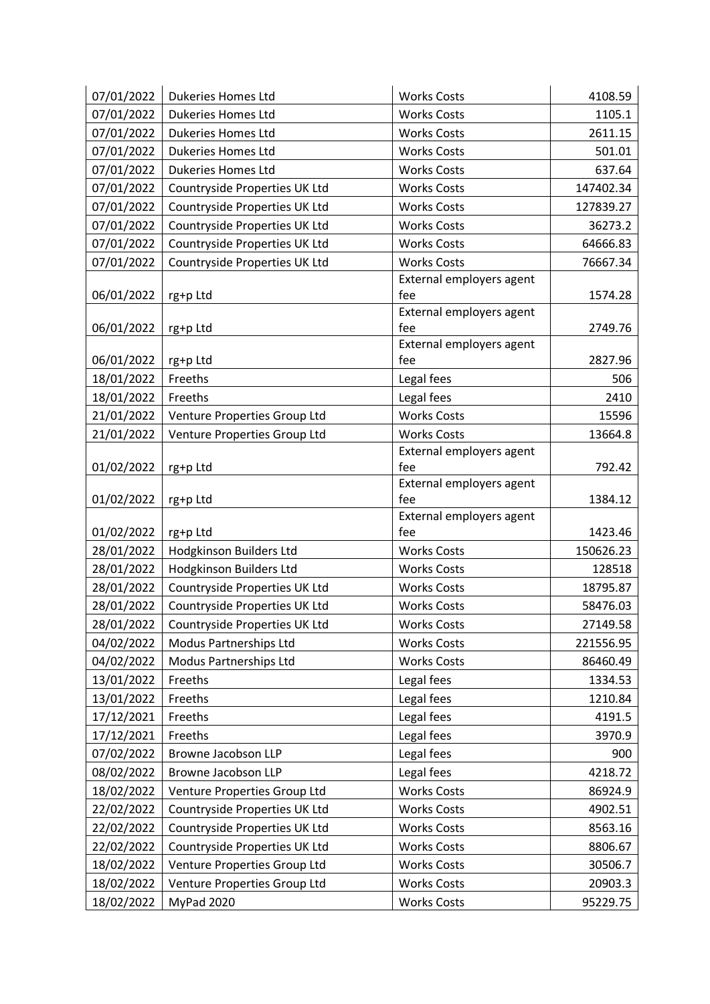| 07/01/2022               | <b>Dukeries Homes Ltd</b>                                     | <b>Works Costs</b>                       | 4108.59               |
|--------------------------|---------------------------------------------------------------|------------------------------------------|-----------------------|
| 07/01/2022               | <b>Dukeries Homes Ltd</b>                                     | <b>Works Costs</b>                       | 1105.1                |
| 07/01/2022               | <b>Dukeries Homes Ltd</b>                                     | <b>Works Costs</b>                       | 2611.15               |
| 07/01/2022               | <b>Dukeries Homes Ltd</b>                                     | <b>Works Costs</b>                       | 501.01                |
| 07/01/2022               | <b>Dukeries Homes Ltd</b>                                     | <b>Works Costs</b>                       | 637.64                |
| 07/01/2022               | Countryside Properties UK Ltd                                 | <b>Works Costs</b>                       | 147402.34             |
| 07/01/2022               | Countryside Properties UK Ltd                                 | <b>Works Costs</b>                       | 127839.27             |
| 07/01/2022               | Countryside Properties UK Ltd                                 | <b>Works Costs</b>                       | 36273.2               |
| 07/01/2022               | Countryside Properties UK Ltd                                 | <b>Works Costs</b>                       | 64666.83              |
| 07/01/2022               | Countryside Properties UK Ltd                                 | <b>Works Costs</b>                       | 76667.34              |
|                          |                                                               | External employers agent                 |                       |
| 06/01/2022               | rg+p Ltd                                                      | fee                                      | 1574.28               |
|                          |                                                               | External employers agent                 |                       |
| 06/01/2022               | rg+p Ltd                                                      | fee<br>External employers agent          | 2749.76               |
| 06/01/2022               | rg+p Ltd                                                      | fee                                      | 2827.96               |
| 18/01/2022               | Freeths                                                       | Legal fees                               | 506                   |
| 18/01/2022               | Freeths                                                       | Legal fees                               | 2410                  |
| 21/01/2022               | Venture Properties Group Ltd                                  | <b>Works Costs</b>                       | 15596                 |
| 21/01/2022               | Venture Properties Group Ltd                                  | <b>Works Costs</b>                       | 13664.8               |
|                          |                                                               | External employers agent                 |                       |
| 01/02/2022               | rg+p Ltd                                                      | fee                                      | 792.42                |
|                          |                                                               | External employers agent                 |                       |
| 01/02/2022               | rg+p Ltd                                                      | fee                                      | 1384.12               |
|                          |                                                               | External employers agent                 |                       |
| 01/02/2022               | rg+p Ltd                                                      | fee                                      | 1423.46               |
| 28/01/2022<br>28/01/2022 | Hodgkinson Builders Ltd<br>Hodgkinson Builders Ltd            | <b>Works Costs</b><br><b>Works Costs</b> | 150626.23             |
| 28/01/2022               | Countryside Properties UK Ltd                                 | <b>Works Costs</b>                       | 128518<br>18795.87    |
| 28/01/2022               | Countryside Properties UK Ltd                                 | <b>Works Costs</b>                       | 58476.03              |
| 28/01/2022               |                                                               |                                          |                       |
|                          | Countryside Properties UK Ltd<br>Modus Partnerships Ltd       | Works Costs<br><b>Works Costs</b>        | 27149.58<br>221556.95 |
| 04/02/2022<br>04/02/2022 |                                                               |                                          | 86460.49              |
|                          | Modus Partnerships Ltd                                        | <b>Works Costs</b>                       |                       |
| 13/01/2022<br>13/01/2022 | Freeths<br>Freeths                                            | Legal fees                               | 1334.53<br>1210.84    |
|                          | Freeths                                                       | Legal fees                               | 4191.5                |
| 17/12/2021<br>17/12/2021 | Freeths                                                       | Legal fees<br>Legal fees                 | 3970.9                |
| 07/02/2022               | Browne Jacobson LLP                                           | Legal fees                               | 900                   |
| 08/02/2022               | Browne Jacobson LLP                                           | Legal fees                               | 4218.72               |
|                          |                                                               | <b>Works Costs</b>                       |                       |
| 18/02/2022<br>22/02/2022 | Venture Properties Group Ltd<br>Countryside Properties UK Ltd | <b>Works Costs</b>                       | 86924.9<br>4902.51    |
|                          |                                                               |                                          |                       |
| 22/02/2022               | Countryside Properties UK Ltd                                 | <b>Works Costs</b>                       | 8563.16               |
| 22/02/2022               | Countryside Properties UK Ltd                                 | <b>Works Costs</b>                       | 8806.67               |
| 18/02/2022               | Venture Properties Group Ltd                                  | <b>Works Costs</b>                       | 30506.7               |
| 18/02/2022               | Venture Properties Group Ltd                                  | <b>Works Costs</b>                       | 20903.3               |
| 18/02/2022               | MyPad 2020                                                    | <b>Works Costs</b>                       | 95229.75              |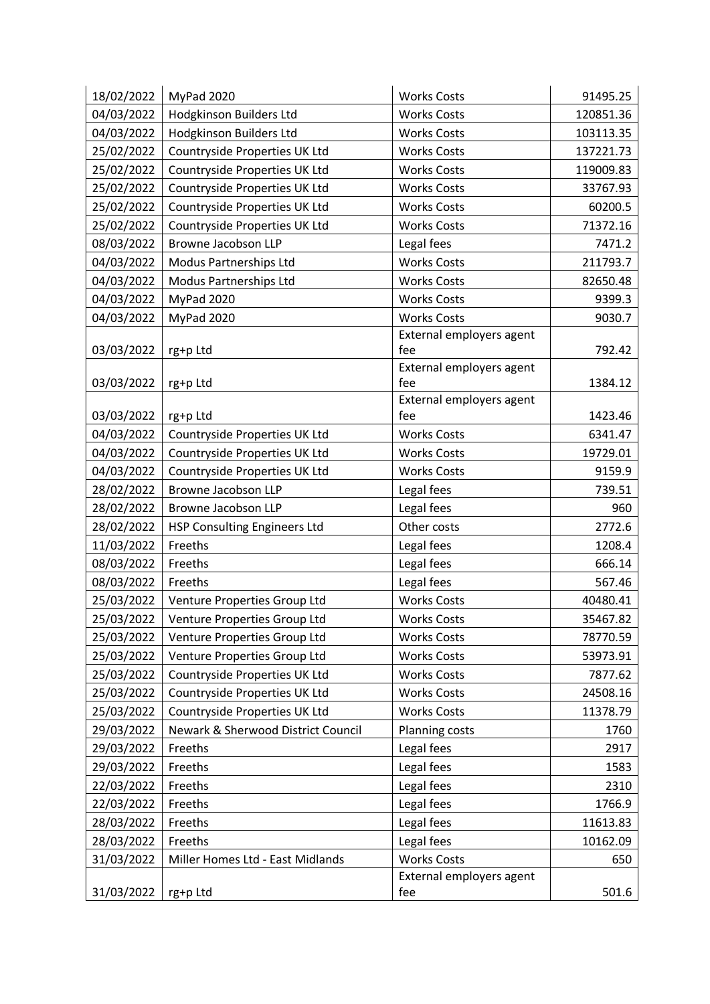| 18/02/2022 | MyPad 2020                         | <b>Works Costs</b>       | 91495.25  |
|------------|------------------------------------|--------------------------|-----------|
| 04/03/2022 | Hodgkinson Builders Ltd            | <b>Works Costs</b>       | 120851.36 |
| 04/03/2022 | Hodgkinson Builders Ltd            | <b>Works Costs</b>       | 103113.35 |
| 25/02/2022 | Countryside Properties UK Ltd      | <b>Works Costs</b>       | 137221.73 |
| 25/02/2022 | Countryside Properties UK Ltd      | <b>Works Costs</b>       | 119009.83 |
| 25/02/2022 | Countryside Properties UK Ltd      | <b>Works Costs</b>       | 33767.93  |
| 25/02/2022 | Countryside Properties UK Ltd      | <b>Works Costs</b>       | 60200.5   |
| 25/02/2022 | Countryside Properties UK Ltd      | <b>Works Costs</b>       | 71372.16  |
| 08/03/2022 | Browne Jacobson LLP                | Legal fees               | 7471.2    |
| 04/03/2022 | Modus Partnerships Ltd             | <b>Works Costs</b>       | 211793.7  |
| 04/03/2022 | Modus Partnerships Ltd             | <b>Works Costs</b>       | 82650.48  |
| 04/03/2022 | MyPad 2020                         | <b>Works Costs</b>       | 9399.3    |
| 04/03/2022 | MyPad 2020                         | <b>Works Costs</b>       | 9030.7    |
|            |                                    | External employers agent |           |
| 03/03/2022 | rg+p Ltd                           | fee                      | 792.42    |
|            |                                    | External employers agent |           |
| 03/03/2022 | rg+p Ltd                           | fee                      | 1384.12   |
|            |                                    | External employers agent |           |
| 03/03/2022 | rg+p Ltd                           | fee                      | 1423.46   |
| 04/03/2022 | Countryside Properties UK Ltd      | <b>Works Costs</b>       | 6341.47   |
| 04/03/2022 | Countryside Properties UK Ltd      | <b>Works Costs</b>       | 19729.01  |
| 04/03/2022 | Countryside Properties UK Ltd      | <b>Works Costs</b>       | 9159.9    |
| 28/02/2022 | Browne Jacobson LLP                | Legal fees               | 739.51    |
| 28/02/2022 | Browne Jacobson LLP                | Legal fees               | 960       |
| 28/02/2022 | HSP Consulting Engineers Ltd       | Other costs              | 2772.6    |
| 11/03/2022 | Freeths                            | Legal fees               | 1208.4    |
| 08/03/2022 | Freeths                            | Legal fees               | 666.14    |
| 08/03/2022 | Freeths                            | Legal fees               | 567.46    |
| 25/03/2022 | Venture Properties Group Ltd       | <b>Works Costs</b>       | 40480.41  |
| 25/03/2022 | Venture Properties Group Ltd       | <b>Works Costs</b>       | 35467.82  |
| 25/03/2022 | Venture Properties Group Ltd       | <b>Works Costs</b>       | 78770.59  |
| 25/03/2022 | Venture Properties Group Ltd       | <b>Works Costs</b>       | 53973.91  |
| 25/03/2022 | Countryside Properties UK Ltd      | <b>Works Costs</b>       | 7877.62   |
| 25/03/2022 | Countryside Properties UK Ltd      | <b>Works Costs</b>       | 24508.16  |
| 25/03/2022 | Countryside Properties UK Ltd      | <b>Works Costs</b>       | 11378.79  |
| 29/03/2022 | Newark & Sherwood District Council | Planning costs           | 1760      |
| 29/03/2022 | Freeths                            | Legal fees               | 2917      |
| 29/03/2022 | Freeths                            | Legal fees               | 1583      |
| 22/03/2022 | Freeths                            | Legal fees               | 2310      |
| 22/03/2022 | Freeths                            | Legal fees               | 1766.9    |
| 28/03/2022 | Freeths                            | Legal fees               | 11613.83  |
| 28/03/2022 | Freeths                            | Legal fees               | 10162.09  |
| 31/03/2022 | Miller Homes Ltd - East Midlands   | <b>Works Costs</b>       | 650       |
|            |                                    | External employers agent |           |
| 31/03/2022 | rg+p Ltd                           | fee                      | 501.6     |